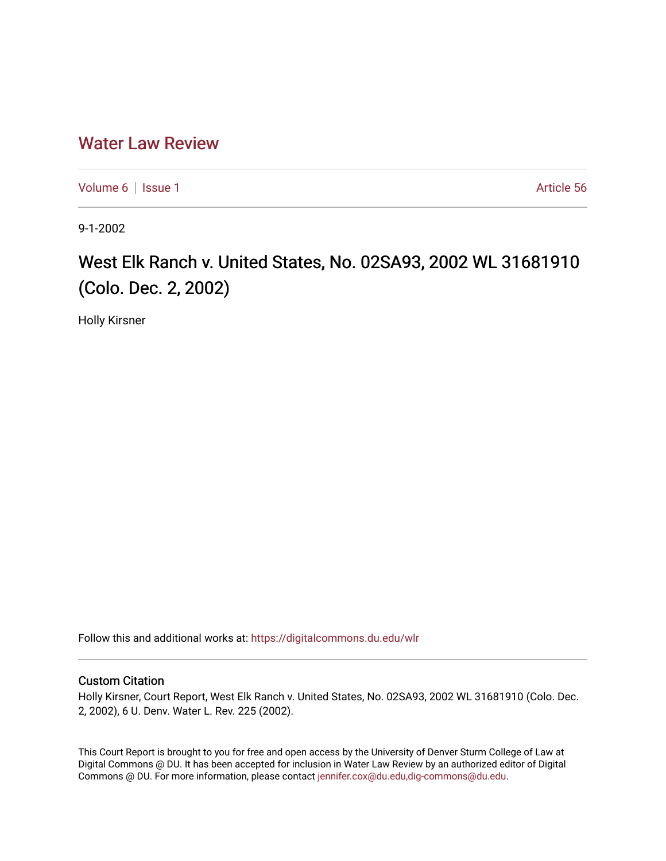## [Water Law Review](https://digitalcommons.du.edu/wlr)

[Volume 6](https://digitalcommons.du.edu/wlr/vol6) | [Issue 1](https://digitalcommons.du.edu/wlr/vol6/iss1) Article 56

9-1-2002

## West Elk Ranch v. United States, No. 02SA93, 2002 WL 31681910 (Colo. Dec. 2, 2002)

Holly Kirsner

Follow this and additional works at: [https://digitalcommons.du.edu/wlr](https://digitalcommons.du.edu/wlr?utm_source=digitalcommons.du.edu%2Fwlr%2Fvol6%2Fiss1%2F56&utm_medium=PDF&utm_campaign=PDFCoverPages) 

## Custom Citation

Holly Kirsner, Court Report, West Elk Ranch v. United States, No. 02SA93, 2002 WL 31681910 (Colo. Dec. 2, 2002), 6 U. Denv. Water L. Rev. 225 (2002).

This Court Report is brought to you for free and open access by the University of Denver Sturm College of Law at Digital Commons @ DU. It has been accepted for inclusion in Water Law Review by an authorized editor of Digital Commons @ DU. For more information, please contact [jennifer.cox@du.edu,dig-commons@du.edu.](mailto:jennifer.cox@du.edu,dig-commons@du.edu)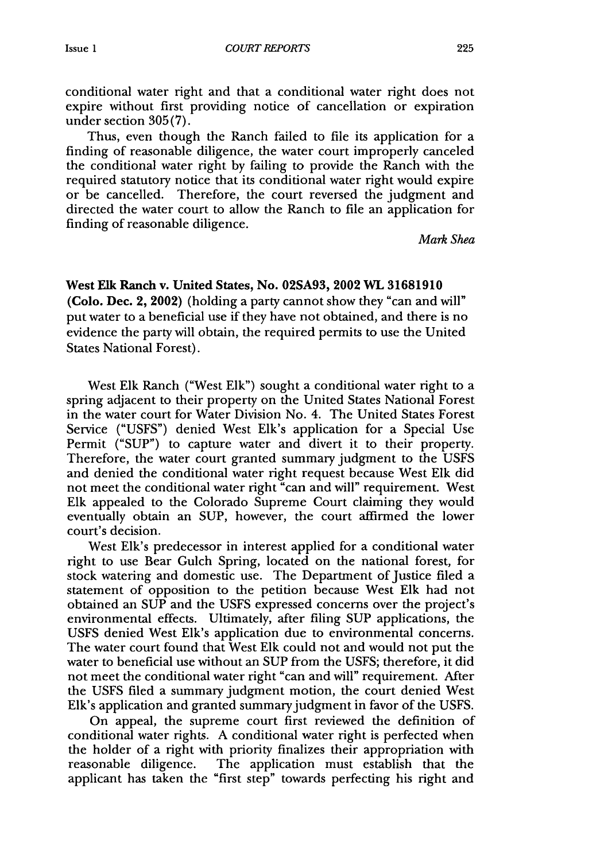conditional water right and that a conditional water right does not expire without first providing notice of cancellation or expiration under section **305(7).**

Thus, even though the Ranch failed to file its application for a finding of reasonable diligence, the water court improperly canceled the conditional water right **by** failing to provide the Ranch with the required statutory notice that its conditional water right would expire or be cancelled. Therefore, the court reversed the judgment and directed the water court to allow the Ranch to file an application for finding of reasonable diligence.

*Mark Shea*

West **Elk** Ranch v. United States, No. **02SA93,** 2002 WL **31681910** (Colo. Dec. 2, 2002) (holding a party cannot show they "can and will" put water to a beneficial use if they have not obtained, and there is no evidence the party will obtain, the required permits to use the United States National Forest).

West **Elk** Ranch ("West **Elk")** sought a conditional water right to a spring adjacent to their property on the United States National Forest in the water court for Water Division No. 4. The United States Forest Service **("USFS")** denied West Elk's application for a Special Use Permit **("SUP")** to capture water and divert it to their property. Therefore, the water court granted summary judgment to the **USFS** and denied the conditional water right request because West **Elk** did not meet the conditional water right "can and will" requirement. West **Elk** appealed to the Colorado Supreme Court claiming they would eventually obtain an **SUP,** however, the court affirmed the lower court's decision.

West Elk's predecessor in interest applied for a conditional water right to use Bear Gulch Spring, located on the national forest, for stock watering and domestic use. The Department of Justice filed a statement of opposition to the petition because West **Elk** had not obtained an **SUP** and the **USFS** expressed concerns over the project's environmental effects. Ultimately, after filing **SUP** applications, the **USFS** denied West Elk's application due to environmental concerns. The water court found that West **Elk** could not and would not put the water to beneficial use without an **SUP** from the **USFS;** therefore, it did not meet the conditional water right "can and will" requirement. After the **USFS** filed a summary judgment motion, the court denied West Elk's application and granted summary judgment in favor of the **USFS.**

On appeal, the supreme court first reviewed the definition of conditional water rights. **A** conditional water right is perfected when the holder of a right with priority finalizes their appropriation with reasonable diligence. The application must establish that the applicant has taken the "first step" towards perfecting his right and